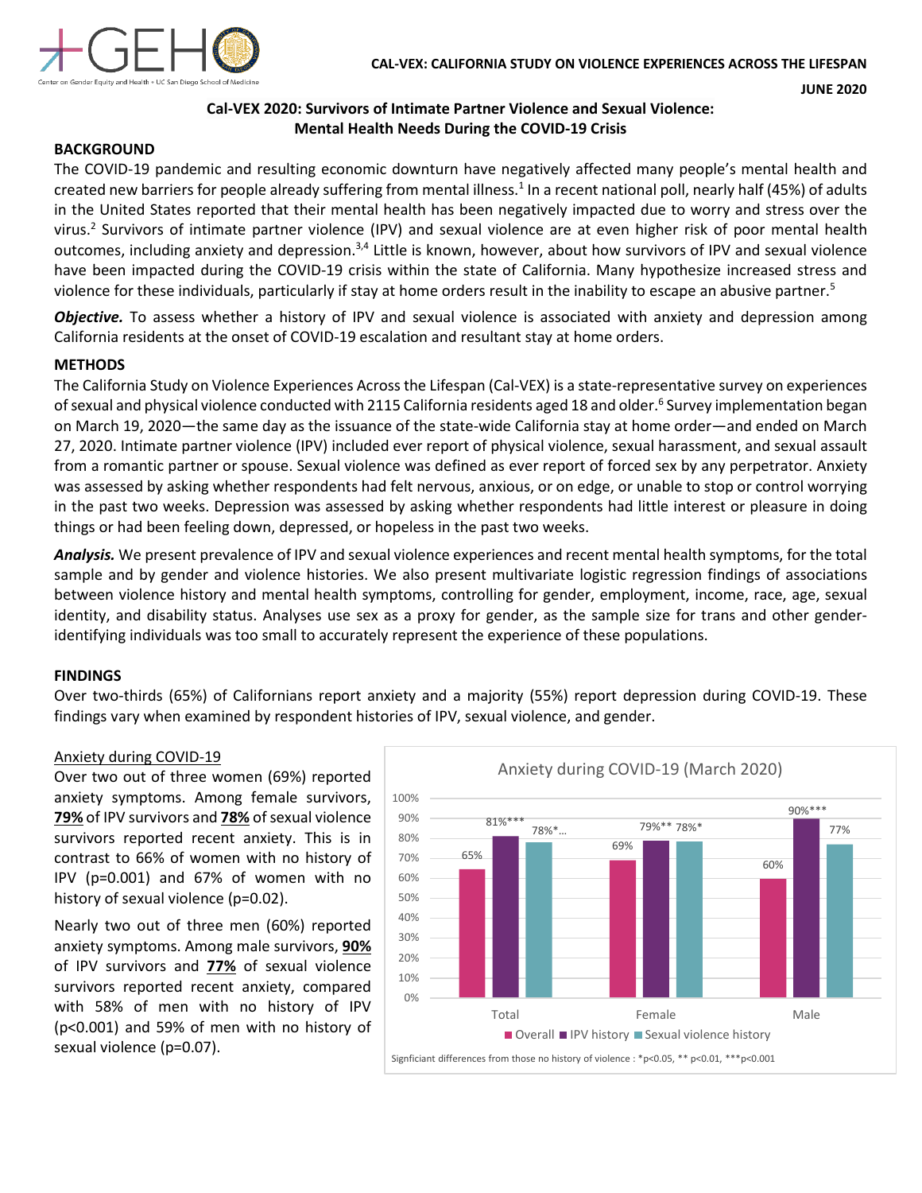

**JUNE 2020**

# **Cal-VEX 2020: Survivors of Intimate Partner Violence and Sexual Violence: Mental Health Needs During the COVID-19 Crisis**

### **BACKGROUND**

The COVID-19 pandemic and resulting economic downturn have negatively affected many people's mental health and created new barriers for people already suffering from mental illness.<sup>1</sup> In a recent national poll, nearly half (45%) of adults in the United States reported that their mental health has been negatively impacted due to worry and stress over the virus.2 Survivors of intimate partner violence (IPV) and sexual violence are at even higher risk of poor mental health outcomes, including anxiety and depression.<sup>3,4</sup> Little is known, however, about how survivors of IPV and sexual violence have been impacted during the COVID-19 crisis within the state of California. Many hypothesize increased stress and violence for these individuals, particularly if stay at home orders result in the inability to escape an abusive partner.<sup>5</sup>

*Objective.* To assess whether a history of IPV and sexual violence is associated with anxiety and depression among California residents at the onset of COVID-19 escalation and resultant stay at home orders.

### **METHODS**

The California Study on Violence Experiences Across the Lifespan (Cal-VEX) is a state-representative survey on experiences of sexual and physical violence conducted with 2115 California residents aged 18 and older.<sup>6</sup> Survey implementation began on March 19, 2020—the same day as the issuance of the state-wide California stay at home order—and ended on March 27, 2020. Intimate partner violence (IPV) included ever report of physical violence, sexual harassment, and sexual assault from a romantic partner or spouse. Sexual violence was defined as ever report of forced sex by any perpetrator. Anxiety was assessed by asking whether respondents had felt nervous, anxious, or on edge, or unable to stop or control worrying in the past two weeks. Depression was assessed by asking whether respondents had little interest or pleasure in doing things or had been feeling down, depressed, or hopeless in the past two weeks.

*Analysis.* We present prevalence of IPV and sexual violence experiences and recent mental health symptoms, for the total sample and by gender and violence histories. We also present multivariate logistic regression findings of associations between violence history and mental health symptoms, controlling for gender, employment, income, race, age, sexual identity, and disability status. Analyses use sex as a proxy for gender, as the sample size for trans and other genderidentifying individuals was too small to accurately represent the experience of these populations.

#### **FINDINGS**

Over two-thirds (65%) of Californians report anxiety and a majority (55%) report depression during COVID-19. These findings vary when examined by respondent histories of IPV, sexual violence, and gender.

#### Anxiety during COVID-19

Over two out of three women (69%) reported anxiety symptoms. Among female survivors, **79%** of IPV survivors and **78%** of sexual violence survivors reported recent anxiety. This is in contrast to 66% of women with no history of IPV (p=0.001) and 67% of women with no history of sexual violence (p=0.02).

Nearly two out of three men (60%) reported anxiety symptoms. Among male survivors, **90%** of IPV survivors and **77%** of sexual violence survivors reported recent anxiety, compared with 58% of men with no history of IPV (p<0.001) and 59% of men with no history of sexual violence (p=0.07).